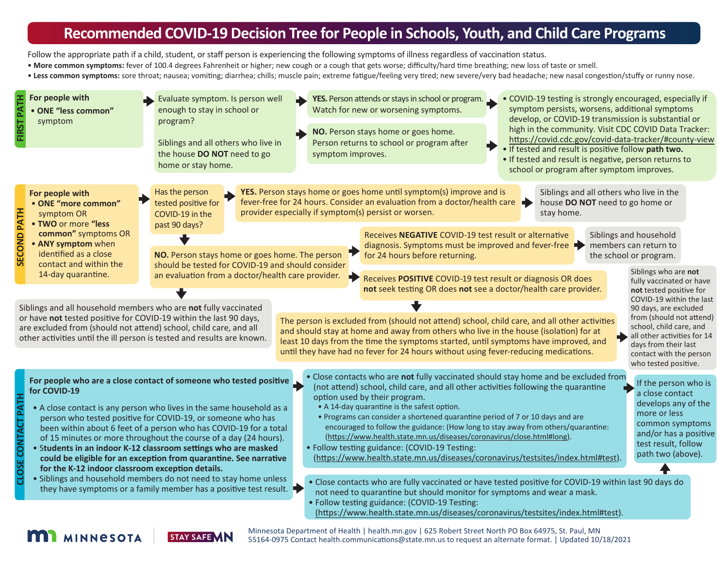# **Recommended COVID-19 Decision Tree for People in Schools, Youth, and Child Care Programs**

Follow the appropriate path if a child, student, or staff person is experiencing the following symptoms of illness regardless of vaccination status.

- More common symptoms: fever of 100.4 degrees Fahrenheit or higher; new cough or a cough that gets worse; difficulty/hard time breathing; new loss of taste or smell.
- Less common symptoms: sore throat; nausea; vomiting; diarrhea; chills; muscle pain; extreme fatigue/feeling very tired; new severe/very bad headache; new nasal congestion/stuffy or runny nose.

| For people with<br>PATH<br>• ONE "less common"<br><b>FIRST</b><br>symptom                                                                                                                         | Evaluate symptom. Is person well<br>YES. Person attends or stays in school or program.<br>• COVID-19 testing is strongly encouraged, especially if<br>symptom persists, worsens, additional symptoms<br>enough to stay in school or<br>Watch for new or worsening symptoms.<br>develop, or COVID-19 transmission is substantial or<br>program?<br>high in the community. Visit CDC COVID Data Tracker:<br>NO. Person stays home or goes home.<br>https://covid.cdc.gov/covid-data-tracker/#county-view<br>Person returns to school or program after<br>Siblings and all others who live in<br>. If tested and result is positive follow path two.<br>the house DO NOT need to go<br>symptom improves.<br>• If tested and result is negative, person returns to<br>home or stay home.<br>school or program after symptom improves.                                                                                                                                                                                                                                                                                                                                                                                                                                                                                                                                                                                                                                                                                                                                                                                                                                                                                                                                                                                                                               |
|---------------------------------------------------------------------------------------------------------------------------------------------------------------------------------------------------|-----------------------------------------------------------------------------------------------------------------------------------------------------------------------------------------------------------------------------------------------------------------------------------------------------------------------------------------------------------------------------------------------------------------------------------------------------------------------------------------------------------------------------------------------------------------------------------------------------------------------------------------------------------------------------------------------------------------------------------------------------------------------------------------------------------------------------------------------------------------------------------------------------------------------------------------------------------------------------------------------------------------------------------------------------------------------------------------------------------------------------------------------------------------------------------------------------------------------------------------------------------------------------------------------------------------------------------------------------------------------------------------------------------------------------------------------------------------------------------------------------------------------------------------------------------------------------------------------------------------------------------------------------------------------------------------------------------------------------------------------------------------------------------------------------------------------------------------------------------------|
| For people with<br>• ONE "more common"<br><b>SECOND PATH</b><br>symptom OR<br>• TWO or more "less<br>common" symptoms OR<br>• ANY symptom when<br>identified as a close<br>contact and within the | YES. Person stays home or goes home until symptom(s) improve and is<br>Siblings and all others who live in the<br>Has the person<br>fever-free for 24 hours. Consider an evaluation from a doctor/health care<br>house DO NOT need to go home or<br>tested positive for<br>provider especially if symptom(s) persist or worsen.<br>stay home.<br>COVID-19 in the<br>past 90 days?<br>Receives NEGATIVE COVID-19 test result or alternative<br>Siblings and household<br>members can return to<br>diagnosis. Symptoms must be improved and fever-free $\blacktriangleright$<br>NO. Person stays home or goes home. The person<br>for 24 hours before returning.<br>the school or program.<br>should be tested for COVID-19 and should consider<br>Siblings who are not                                                                                                                                                                                                                                                                                                                                                                                                                                                                                                                                                                                                                                                                                                                                                                                                                                                                                                                                                                                                                                                                                           |
| 14-day quarantine.                                                                                                                                                                                | an evaluation from a doctor/health care provider.<br>Receives POSITIVE COVID-19 test result or diagnosis OR does<br>fully vaccinated or have<br>not seek testing OR does not see a doctor/health care provider.<br>not tested positive for<br>COVID-19 within the last<br>Siblings and all household members who are not fully vaccinated<br>90 days, are excluded<br>or have not tested positive for COVID-19 within the last 90 days,<br>from (should not attend)<br>The person is excluded from (should not attend) school, child care, and all other activities<br>school, child care, and<br>are excluded from (should not attend) school, child care, and all<br>and should stay at home and away from others who live in the house (isolation) for at<br>all other activities for 14<br>other activities until the ill person is tested and results are known.<br>least 10 days from the time the symptoms started, until symptoms have improved, and<br>days from their last<br>until they have had no fever for 24 hours without using fever-reducing medications.<br>contact with the person<br>who tested positive.                                                                                                                                                                                                                                                                                                                                                                                                                                                                                                                                                                                                                                                                                                                                  |
| for COVID-19<br><b>CLOSE CONTACT PATH</b>                                                                                                                                                         | . Close contacts who are not fully vaccinated should stay home and be excluded from<br>For people who are a close contact of someone who tested positive<br>If the person who is<br>(not attend) school, child care, and all other activities following the quarantine<br>a close contact<br>option used by their program.<br>develops any of the<br>• A 14-day quarantine is the safest option.<br>• A close contact is any person who lives in the same household as a<br>more or less<br>• Programs can consider a shortened quarantine period of 7 or 10 days and are<br>person who tested positive for COVID-19, or someone who has<br>common symptoms<br>encouraged to follow the guidance: (How long to stay away from others/quarantine:<br>been within about 6 feet of a person who has COVID-19 for a total<br>and/or has a positive<br>(https://www.health.state.mn.us/diseases/coronavirus/close.html#long).<br>of 15 minutes or more throughout the course of a day (24 hours).<br>test result, follow<br>• Students in an indoor K-12 classroom settings who are masked<br>• Follow testing guidance: (COVID-19 Testing:<br>path two (above).<br>(https://www.health.state.mn.us/diseases/coronavirus/testsites/index.html#test)<br>could be eligible for an exception from quarantine. See narrative<br>for the K-12 indoor classroom exception details.<br>• Siblings and household members do not need to stay home unless<br>. Close contacts who are fully vaccinated or have tested positive for COVID-19 within last 90 days do<br>they have symptoms or a family member has a positive test result. $\blacktriangleright$<br>not need to quarantine but should monitor for symptoms and wear a mask.<br>• Follow testing guidance: (COVID-19 Testing:<br>(https://www.health.state.mn.us/diseases/coronavirus/testsites/index.html#test). |

#### **MI** MINNESOTA **STAY SAFE MN**

Minnesota Department of Health | [health.mn.gov](https://www.health.state.mn.us/) | 625 Robert Street North PO Box 64975, St. Paul, MN 55164-0975 Contact [health.communica](mailto:health.communications@state.mn.us)tions@state.mn.us to request an alternate format. | Updated 10/18/2021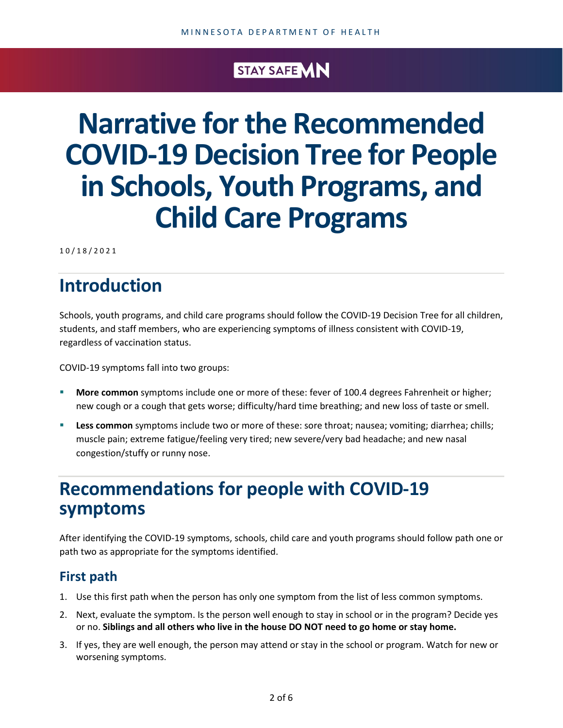# STAY SAFE MN

# **Narrative for the Recommended COVID-19 Decision Tree for People in Schools, Youth Programs, and Child Care Programs**

1 0 / 1 8 /2021

# **Introduction**

Schools, youth programs, and child care programs should follow the COVID-19 Decision Tree for all children, students, and staff members, who are experiencing symptoms of illness consistent with COVID-19, regardless of vaccination status.

COVID-19 symptoms fall into two groups:

- **More common** symptoms include one or more of these: fever of 100.4 degrees Fahrenheit or higher; new cough or a cough that gets worse; difficulty/hard time breathing; and new loss of taste or smell.
- **Less common** symptoms include two or more of these: sore throat; nausea; vomiting; diarrhea; chills; muscle pain; extreme fatigue/feeling very tired; new severe/very bad headache; and new nasal congestion/stuffy or runny nose.

# **Recommendations for people with COVID-19 symptoms**

After identifying the COVID-19 symptoms, schools, child care and youth programs should follow path one or path two as appropriate for the symptoms identified.

# **First path**

- 1. Use this first path when the person has only one symptom from the list of less common symptoms.
- 2. Next, evaluate the symptom. Is the person well enough to stay in school or in the program? Decide yes or no. **Siblings and all others who live in the house DO NOT need to go home or stay home.**
- 3. If yes, they are well enough, the person may attend or stay in the school or program. Watch for new or worsening symptoms.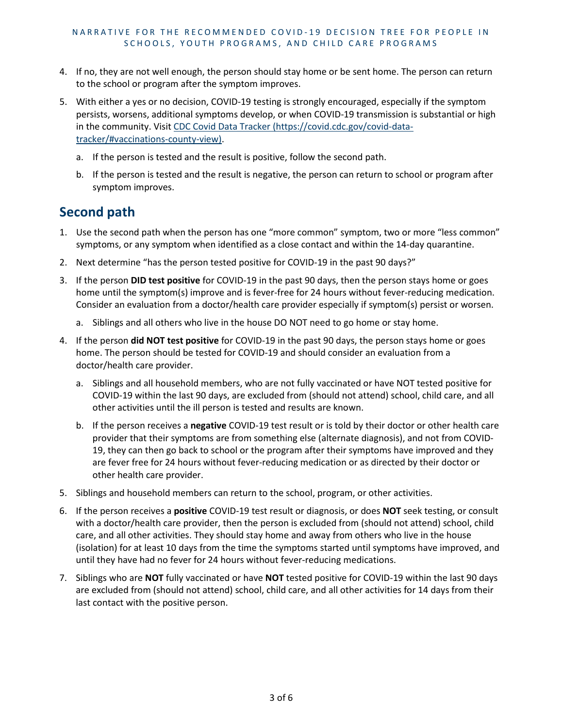- 4. If no, they are not well enough, the person should stay home or be sent home. The person can return to the school or program after the symptom improves.
- 5. With either a yes or no decision, COVID-19 testing is strongly encouraged, especially if the symptom persists, worsens, additional symptoms develop, or when COVID-19 transmission is substantial or high in the community. Visit CDC Covid Data Tracker [\(https://covid.cdc.gov/covid-data](https://covid.cdc.gov/covid-data-tracker/#vaccinations-county-view)[tracker/#vaccinations-county-view\).](https://covid.cdc.gov/covid-data-tracker/#vaccinations-county-view)
	- a. If the person is tested and the result is positive, follow the second path.
	- b. If the person is tested and the result is negative, the person can return to school or program after symptom improves.

# **Second path**

- 1. Use the second path when the person has one "more common" symptom, two or more "less common" symptoms, or any symptom when identified as a close contact and within the 14-day quarantine.
- 2. Next determine "has the person tested positive for COVID-19 in the past 90 days?"
- 3. If the person **DID test positive** for COVID-19 in the past 90 days, then the person stays home or goes home until the symptom(s) improve and is fever-free for 24 hours without fever-reducing medication. Consider an evaluation from a doctor/health care provider especially if symptom(s) persist or worsen.
	- a. Siblings and all others who live in the house DO NOT need to go home or stay home.
- 4. If the person **did NOT test positive** for COVID-19 in the past 90 days, the person stays home or goes home. The person should be tested for COVID-19 and should consider an evaluation from a doctor/health care provider.
	- a. Siblings and all household members, who are not fully vaccinated or have NOT tested positive for COVID-19 within the last 90 days, are excluded from (should not attend) school, child care, and all other activities until the ill person is tested and results are known.
	- b. If the person receives a **negative** COVID-19 test result or is told by their doctor or other health care provider that their symptoms are from something else (alternate diagnosis), and not from COVID-19, they can then go back to school or the program after their symptoms have improved and they are fever free for 24 hours without fever-reducing medication or as directed by their doctor or other health care provider.
- 5. Siblings and household members can return to the school, program, or other activities.
- 6. If the person receives a **positive** COVID-19 test result or diagnosis, or does **NOT** seek testing, or consult with a doctor/health care provider, then the person is excluded from (should not attend) school, child care, and all other activities. They should stay home and away from others who live in the house (isolation) for at least 10 days from the time the symptoms started until symptoms have improved, and until they have had no fever for 24 hours without fever-reducing medications.
- 7. Siblings who are **NOT** fully vaccinated or have **NOT** tested positive for COVID-19 within the last 90 days are excluded from (should not attend) school, child care, and all other activities for 14 days from their last contact with the positive person.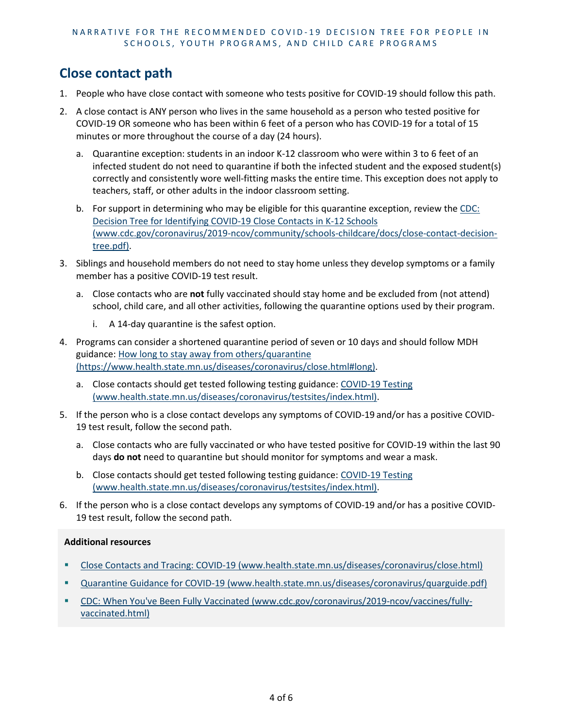#### NARRATIVE FOR THE RECOMMENDED COVID-19 DECISION TREE FOR PEOPLE IN SCHOOLS, YOUTH PROGRAMS, AND CHILD CARE PROGRAMS

### **Close contact path**

- 1. People who have close contact with someone who tests positive for COVID-19 should follow this path.
- 2. A close contact is ANY person who lives in the same household as a person who tested positive for COVID-19 OR someone who has been within 6 feet of a person who has COVID-19 for a total of 15 minutes or more throughout the course of a day (24 hours).
	- a. Quarantine exception: students in an indoor K-12 classroom who were within 3 to 6 feet of an infected student do not need to quarantine if both the infected student and the exposed student(s) correctly and consistently wore well-fitting masks the entire time. This exception does not apply to teachers, staff, or other adults in the indoor classroom setting.
	- b. For support in determining who may be eligible for this quarantine exception, review the [CDC:](https://www.cdc.gov/coronavirus/2019-ncov/community/schools-childcare/docs/close-contact-decision-tree.pdf)  [Decision Tree for Identifying COVID-19 Close Contacts in K-12 Schools](https://www.cdc.gov/coronavirus/2019-ncov/community/schools-childcare/docs/close-contact-decision-tree.pdf)  [\(www.cdc.gov/coronavirus/2019-ncov/community/schools-childcare/docs/close-contact-decision](https://www.cdc.gov/coronavirus/2019-ncov/community/schools-childcare/docs/close-contact-decision-tree.pdf)[tree.pdf\).](https://www.cdc.gov/coronavirus/2019-ncov/community/schools-childcare/docs/close-contact-decision-tree.pdf)
- 3. Siblings and household members do not need to stay home unless they develop symptoms or a family member has a positive COVID-19 test result.
	- a. Close contacts who are **not** fully vaccinated should stay home and be excluded from (not attend) school, child care, and all other activities, following the quarantine options used by their program.
		- i. A 14-day quarantine is the safest option.
- 4. Programs can consider a shortened quarantine period of seven or 10 days and should follow MDH guidance[: How long to stay away from others/quarantine](https://www.health.state.mn.us/diseases/coronavirus/close.html#long)  [\(https://www.health.state.mn.us/diseases/coronavirus/close.html#long\).](https://www.health.state.mn.us/diseases/coronavirus/close.html#long)
	- a. Close contacts should get tested following testing guidance[: COVID-19 Testing](https://www.health.state.mn.us/diseases/coronavirus/testsites/index.html)  [\(www.health.state.mn.us/diseases/coronavirus/testsites/index.html\).](https://www.health.state.mn.us/diseases/coronavirus/testsites/index.html)
- 5. If the person who is a close contact develops any symptoms of COVID-19 and/or has a positive COVID-19 test result, follow the second path.
	- a. Close contacts who are fully vaccinated or who have tested positive for COVID-19 within the last 90 days **do not** need to quarantine but should monitor for symptoms and wear a mask.
	- b. Close contacts should get tested following testing guidance[: COVID-19 Testing](https://www.health.state.mn.us/diseases/coronavirus/testsites/index.html)  [\(www.health.state.mn.us/diseases/coronavirus/testsites/index.html\).](https://www.health.state.mn.us/diseases/coronavirus/testsites/index.html)
- 6. If the person who is a close contact develops any symptoms of COVID-19 and/or has a positive COVID-19 test result, follow the second path.

#### **Additional resources**

- [Close Contacts and Tracing: COVID-19 \(www.health.state.mn.us/diseases/coronavirus/close.html\)](https://www.health.state.mn.us/diseases/coronavirus/close.html)
- [Quarantine Guidance for COVID-19 \(www.health.state.mn.us/diseases/coronavirus/quarguide.pdf\)](https://www.health.state.mn.us/diseases/coronavirus/quarguide.pdf)
- [CDC: When You've Been Fully Vaccinated \(www.cdc.gov/coronavirus/2019-ncov/vaccines/fully](https://www.cdc.gov/coronavirus/2019-ncov/vaccines/fully-vaccinated.html)[vaccinated.html\)](https://www.cdc.gov/coronavirus/2019-ncov/vaccines/fully-vaccinated.html)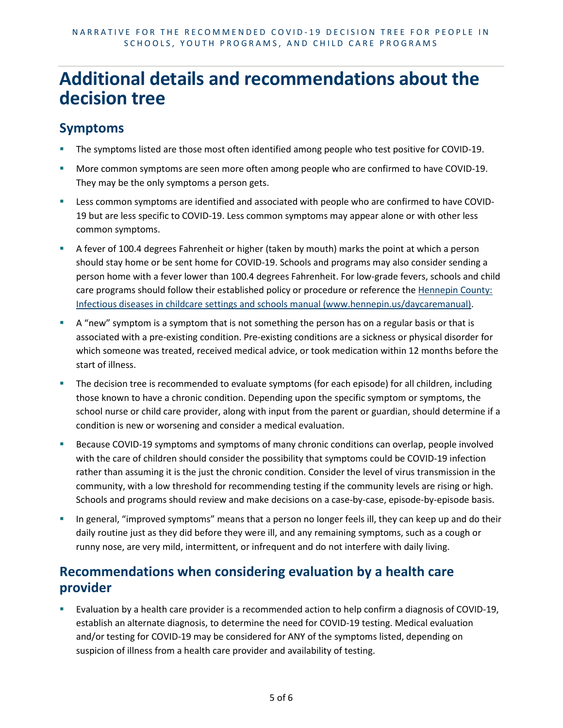# **Additional details and recommendations about the decision tree**

### **Symptoms**

- The symptoms listed are those most often identified among people who test positive for COVID-19.
- More common symptoms are seen more often among people who are confirmed to have COVID-19. They may be the only symptoms a person gets.
- Less common symptoms are identified and associated with people who are confirmed to have COVID-19 but are less specific to COVID-19. Less common symptoms may appear alone or with other less common symptoms.
- A fever of 100.4 degrees Fahrenheit or higher (taken by mouth) marks the point at which a person should stay home or be sent home for COVID-19. Schools and programs may also consider sending a person home with a fever lower than 100.4 degrees Fahrenheit. For low-grade fevers, schools and child care programs should follow their established policy or procedure or reference the [Hennepin County:](https://www.hennepin.us/daycaremanual)  [Infectious diseases in childcare settings and schools manual \(www.hennepin.us/daycaremanual\).](https://www.hennepin.us/daycaremanual)
- A "new" symptom is a symptom that is not something the person has on a regular basis or that is associated with a pre-existing condition. Pre-existing conditions are a sickness or physical disorder for which someone was treated, received medical advice, or took medication within 12 months before the start of illness.
- **The decision tree is recommended to evaluate symptoms (for each episode) for all children, including** those known to have a chronic condition. Depending upon the specific symptom or symptoms, the school nurse or child care provider, along with input from the parent or guardian, should determine if a condition is new or worsening and consider a medical evaluation.
- **Because COVID-19 symptoms and symptoms of many chronic conditions can overlap, people involved** with the care of children should consider the possibility that symptoms could be COVID-19 infection rather than assuming it is the just the chronic condition. Consider the level of virus transmission in the community, with a low threshold for recommending testing if the community levels are rising or high. Schools and programs should review and make decisions on a case-by-case, episode-by-episode basis.
- In general, "improved symptoms" means that a person no longer feels ill, they can keep up and do their daily routine just as they did before they were ill, and any remaining symptoms, such as a cough or runny nose, are very mild, intermittent, or infrequent and do not interfere with daily living.

### **Recommendations when considering evaluation by a health care provider**

 Evaluation by a health care provider is a recommended action to help confirm a diagnosis of COVID-19, establish an alternate diagnosis, to determine the need for COVID-19 testing. Medical evaluation and/or testing for COVID-19 may be considered for ANY of the symptoms listed, depending on suspicion of illness from a health care provider and availability of testing.